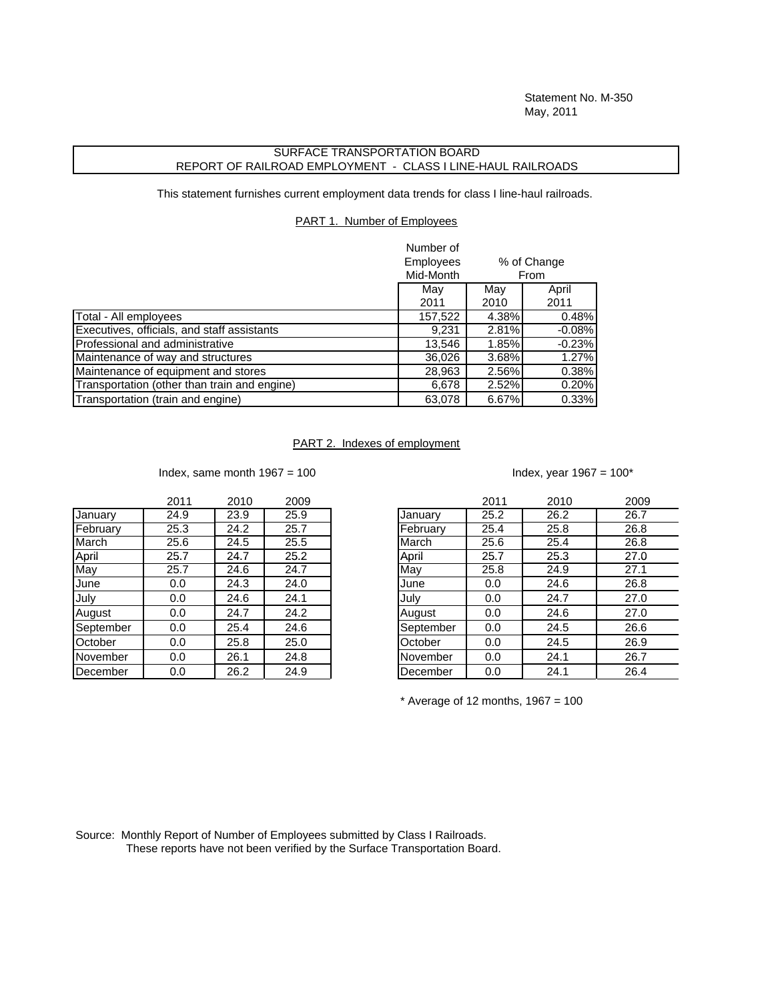Statement No. M-350 May, 2011

## SURFACE TRANSPORTATION BOARD REPORT OF RAILROAD EMPLOYMENT - CLASS I LINE-HAUL RAILROADS

This statement furnishes current employment data trends for class I line-haul railroads.

PART 1. Number of Employees

|                                              | Number of<br>Employees<br>% of Change |       |          |
|----------------------------------------------|---------------------------------------|-------|----------|
|                                              | Mid-Month                             | From  |          |
|                                              | May                                   | May   | April    |
|                                              | 2011                                  | 2010  | 2011     |
| Total - All employees                        | 157,522                               | 4.38% | 0.48%    |
| Executives, officials, and staff assistants  | 9,231                                 | 2.81% | $-0.08%$ |
| Professional and administrative              | 13,546                                | 1.85% | $-0.23%$ |
| Maintenance of way and structures            | 36,026                                | 3.68% | 1.27%    |
| Maintenance of equipment and stores          | 28,963                                | 2.56% | 0.38%    |
| Transportation (other than train and engine) | 6,678                                 | 2.52% | 0.20%    |
| Transportation (train and engine)            | 63,078                                | 6.67% | 0.33%    |

## PART 2. Indexes of employment

Index, same month  $1967 = 100$  Index, year  $1967 = 100*$ 

|           | 2011 | 2010 | 2009 |           | 2011 | 2010 | 200  |
|-----------|------|------|------|-----------|------|------|------|
| January   | 24.9 | 23.9 | 25.9 | January   | 25.2 | 26.2 | 26.7 |
| February  | 25.3 | 24.2 | 25.7 | February  | 25.4 | 25.8 | 26.8 |
| March     | 25.6 | 24.5 | 25.5 | March     | 25.6 | 25.4 | 26.8 |
| April     | 25.7 | 24.7 | 25.2 | April     | 25.7 | 25.3 | 27.0 |
| May       | 25.7 | 24.6 | 24.7 | May       | 25.8 | 24.9 | 27.1 |
| June      | 0.0  | 24.3 | 24.0 | June      | 0.0  | 24.6 | 26.8 |
| July      | 0.0  | 24.6 | 24.1 | July      | 0.0  | 24.7 | 27.0 |
| August    | 0.0  | 24.7 | 24.2 | August    | 0.0  | 24.6 | 27.0 |
| September | 0.0  | 25.4 | 24.6 | September | 0.0  | 24.5 | 26.6 |
| October   | 0.0  | 25.8 | 25.0 | October   | 0.0  | 24.5 | 26.9 |
| November  | 0.0  | 26.1 | 24.8 | November  | 0.0  | 24.1 | 26.7 |
| December  | 0.0  | 26.2 | 24.9 | December  | 0.0  | 24.1 | 26.4 |

| 2011              | 2010 | 2009 |           | 2011 | 2010 | 2009 |
|-------------------|------|------|-----------|------|------|------|
| $\overline{24.9}$ | 23.9 | 25.9 | January   | 25.2 | 26.2 | 26.7 |
| 25.3              | 24.2 | 25.7 | February  | 25.4 | 25.8 | 26.8 |
| 25.6              | 24.5 | 25.5 | March     | 25.6 | 25.4 | 26.8 |
| 25.7              | 24.7 | 25.2 | April     | 25.7 | 25.3 | 27.0 |
| 25.7              | 24.6 | 24.7 | May       | 25.8 | 24.9 | 27.1 |
| 0.0               | 24.3 | 24.0 | June      | 0.0  | 24.6 | 26.8 |
| 0.0               | 24.6 | 24.1 | July      | 0.0  | 24.7 | 27.0 |
| 0.0               | 24.7 | 24.2 | August    | 0.0  | 24.6 | 27.0 |
| 0.0               | 25.4 | 24.6 | September | 0.0  | 24.5 | 26.6 |
| 0.0               | 25.8 | 25.0 | October   | 0.0  | 24.5 | 26.9 |
| 0.0               | 26.1 | 24.8 | November  | 0.0  | 24.1 | 26.7 |
| 0.0               | 26.2 | 24.9 | December  | 0.0  | 24.1 | 26.4 |

 $*$  Average of 12 months, 1967 = 100

Source: Monthly Report of Number of Employees submitted by Class I Railroads. These reports have not been verified by the Surface Transportation Board.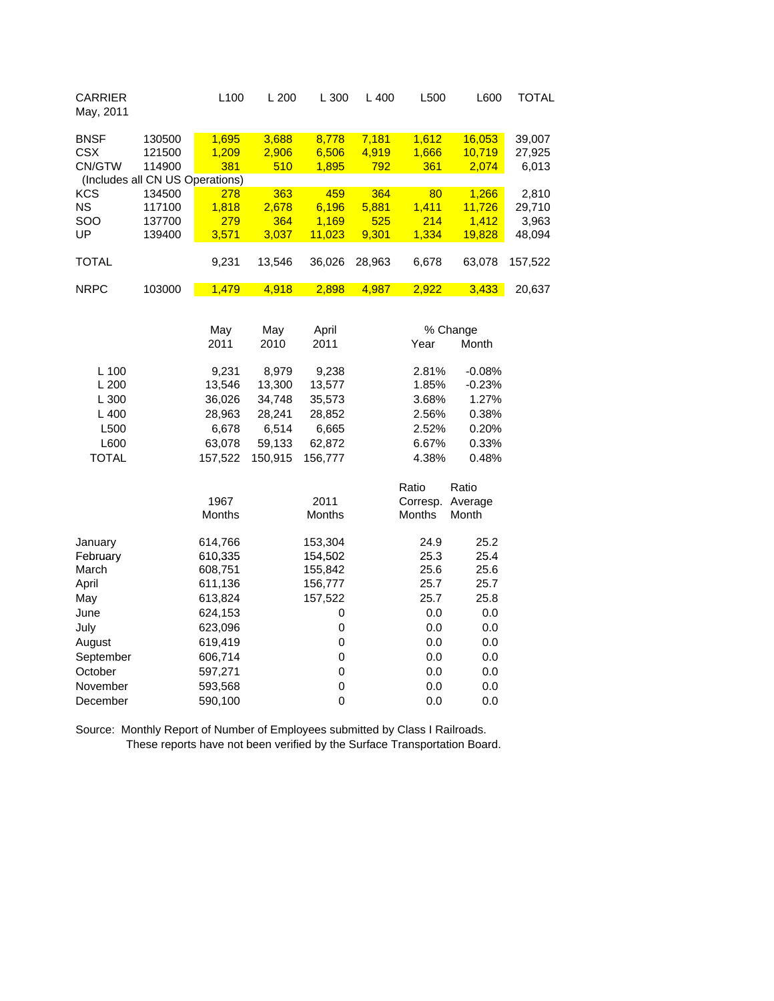| <b>CARRIER</b><br>L100<br>L 300<br>L 400<br>L500<br>L200<br>May, 2011                                                                                                                            | L600                      | <b>TOTAL</b>              |
|--------------------------------------------------------------------------------------------------------------------------------------------------------------------------------------------------|---------------------------|---------------------------|
| <b>BNSF</b><br>130500<br>1,695<br>3,688<br>8,778<br>7,181<br>1,612<br>1,209<br>6,506<br><b>CSX</b><br>2,906<br>4,919<br>1,666<br>121500<br>CN/GTW<br>114900<br>381<br>510<br>1,895<br>792<br>361 | 16,053<br>10,719<br>2,074 | 39,007<br>27,925<br>6,013 |
| (Includes all CN US Operations)                                                                                                                                                                  |                           |                           |
| <b>KCS</b><br>363<br>364<br>134500<br>278<br>459<br>80                                                                                                                                           | 1,266                     | 2,810                     |
| <b>NS</b><br>117100<br>1,818<br>2,678<br>6,196<br>5,881<br>1,411                                                                                                                                 | 11,726                    | 29,710                    |
| SOO<br>137700<br>279<br>364<br>1,169<br>525<br>214                                                                                                                                               | 1,412                     | 3,963                     |
| UP<br>11,023<br>139400<br>3,571<br>3,037<br>9,301<br>1,334                                                                                                                                       | 19,828                    | 48,094                    |
| <b>TOTAL</b><br>9,231<br>13,546<br>28,963<br>6,678<br>36,026                                                                                                                                     | 63,078                    | 157,522                   |
| <b>NRPC</b><br>103000<br>1,479<br>4,918<br>2,898<br>4,987<br>2,922                                                                                                                               | 3,433                     | 20,637                    |
|                                                                                                                                                                                                  |                           |                           |
| May<br>May<br>April<br>% Change                                                                                                                                                                  |                           |                           |
| 2011<br>2011<br>2010<br>Year                                                                                                                                                                     | Month                     |                           |
| L 100<br>8,979<br>2.81%<br>9,231<br>9,238                                                                                                                                                        | $-0.08%$                  |                           |
| L 200<br>13,546<br>13,300<br>13,577<br>1.85%                                                                                                                                                     | $-0.23%$                  |                           |
| L 300<br>36,026<br>34,748<br>35,573<br>3.68%                                                                                                                                                     | 1.27%                     |                           |
| L 400<br>2.56%<br>28,963<br>28,241<br>28,852                                                                                                                                                     | 0.38%                     |                           |
| L500<br>6,678<br>6,514<br>6,665<br>2.52%                                                                                                                                                         | 0.20%                     |                           |
| L600<br>63,078<br>62,872<br>59,133<br>6.67%                                                                                                                                                      | 0.33%                     |                           |
| <b>TOTAL</b><br>157,522<br>150,915<br>156,777<br>4.38%                                                                                                                                           | 0.48%                     |                           |
|                                                                                                                                                                                                  |                           |                           |
| Ratio                                                                                                                                                                                            | Ratio                     |                           |
| 1967<br>2011<br>Corresp.                                                                                                                                                                         | Average                   |                           |
| Months<br>Months<br>Months                                                                                                                                                                       | Month                     |                           |
| January<br>614,766<br>153,304<br>24.9                                                                                                                                                            | 25.2                      |                           |
| 610,335<br>154,502<br>25.3<br>February                                                                                                                                                           | 25.4                      |                           |
| March<br>608,751<br>155,842<br>25.6                                                                                                                                                              | 25.6                      |                           |
| 25.7<br>April<br>611,136<br>156,777                                                                                                                                                              | 25.7                      |                           |
| 157,522<br>25.7<br>613,824<br>May                                                                                                                                                                | 25.8                      |                           |
| 0.0<br>June<br>624,153<br>0                                                                                                                                                                      | 0.0                       |                           |
| 623,096<br>0<br>0.0<br>July                                                                                                                                                                      | 0.0                       |                           |
| 0<br>0.0<br>August<br>619,419                                                                                                                                                                    | 0.0                       |                           |
| 0<br>September<br>606,714<br>0.0                                                                                                                                                                 | 0.0                       |                           |
| $\mathbf 0$<br>October<br>597,271<br>0.0                                                                                                                                                         | 0.0                       |                           |
| 0<br>November<br>593,568<br>0.0                                                                                                                                                                  | 0.0                       |                           |
| $\overline{0}$<br>590,100<br>0.0<br>December                                                                                                                                                     | 0.0                       |                           |

Source: Monthly Report of Number of Employees submitted by Class I Railroads. These reports have not been verified by the Surface Transportation Board.